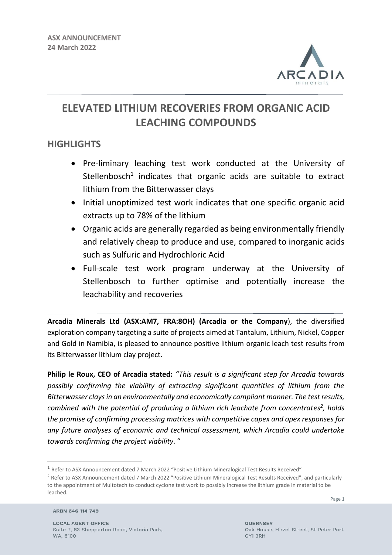

# **ELEVATED LITHIUM RECOVERIES FROM ORGANIC ACID LEACHING COMPOUNDS**

## **HIGHLIGHTS**

- Pre-liminary leaching test work conducted at the University of Stellenbosch<sup>1</sup> indicates that organic acids are suitable to extract lithium from the Bitterwasser clays
- Initial unoptimized test work indicates that one specific organic acid extracts up to 78% of the lithium
- Organic acids are generally regarded as being environmentally friendly and relatively cheap to produce and use, compared to inorganic acids such as Sulfuric and Hydrochloric Acid
- Full-scale test work program underway at the University of Stellenbosch to further optimise and potentially increase the leachability and recoveries

**Arcadia Minerals Ltd (ASX:AM7, FRA:8OH) (Arcadia or the Company**), the diversified exploration company targeting a suite of projects aimed at Tantalum, Lithium, Nickel, Copper and Gold in Namibia, is pleased to announce positive lithium organic leach test results from its Bitterwasser lithium clay project.

**Philip le Roux, CEO of Arcadia stated:** *"This result is a significant step for Arcadia towards possibly confirming the viability of extracting significant quantities of lithium from the Bitterwasser clays in an environmentally and economically compliant manner. The test results, combined with the potential of producing a lithium rich leachate from concentrates<sup>2</sup> , holds the promise of confirming processing matrices with competitive capex and opex responses for any future analyses of economic and technical assessment, which Arcadia could undertake towards confirming the project viability*. "

ARBN 646 114 749

<sup>&</sup>lt;sup>1</sup> Refer to ASX Announcement dated 7 March 2022 "Positive Lithium Mineralogical Test Results Received"

<sup>&</sup>lt;sup>2</sup> Refer to ASX Announcement dated 7 March 2022 "Positive Lithium Mineralogical Test Results Received", and particularly to the appointment of Multotech to conduct cyclone test work to possibly increase the lithium grade in material to be leached.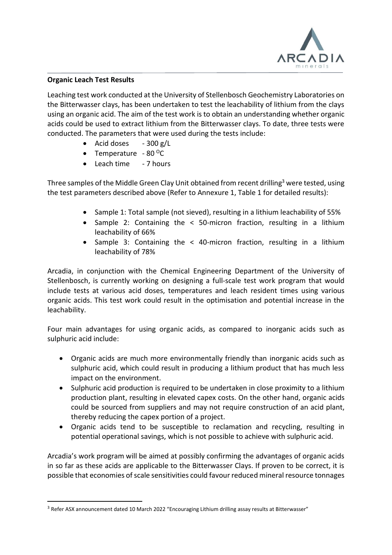

#### **Organic Leach Test Results**

Leaching test work conducted at the University of Stellenbosch Geochemistry Laboratories on the Bitterwasser clays, has been undertaken to test the leachability of lithium from the clays using an organic acid. The aim of the test work is to obtain an understanding whether organic acids could be used to extract lithium from the Bitterwasser clays. To date, three tests were conducted. The parameters that were used during the tests include:

- Acid doses  $-300 \text{ g/L}$
- Temperature  $80^{\circ}$ C
- Leach time 7 hours

Three samples of the Middle Green Clay Unit obtained from recent drilling<sup>3</sup> were tested, using the test parameters described above (Refer to Annexure 1, Table 1 for detailed results):

- Sample 1: Total sample (not sieved), resulting in a lithium leachability of 55%
- Sample 2: Containing the < 50-micron fraction, resulting in a lithium leachability of 66%
- Sample 3: Containing the < 40-micron fraction, resulting in a lithium leachability of 78%

Arcadia, in conjunction with the Chemical Engineering Department of the University of Stellenbosch, is currently working on designing a full-scale test work program that would include tests at various acid doses, temperatures and leach resident times using various organic acids. This test work could result in the optimisation and potential increase in the leachability.

Four main advantages for using organic acids, as compared to inorganic acids such as sulphuric acid include:

- Organic acids are much more environmentally friendly than inorganic acids such as sulphuric acid, which could result in producing a lithium product that has much less impact on the environment.
- Sulphuric acid production is required to be undertaken in close proximity to a lithium production plant, resulting in elevated capex costs. On the other hand, organic acids could be sourced from suppliers and may not require construction of an acid plant, thereby reducing the capex portion of a project.
- Organic acids tend to be susceptible to reclamation and recycling, resulting in potential operational savings, which is not possible to achieve with sulphuric acid.

Arcadia's work program will be aimed at possibly confirming the advantages of organic acids in so far as these acids are applicable to the Bitterwasser Clays. If proven to be correct, it is possible that economies of scale sensitivities could favour reduced mineral resource tonnages

<sup>&</sup>lt;sup>3</sup> Refer ASX announcement dated 10 March 2022 "Encouraging Lithium drilling assay results at Bitterwasser"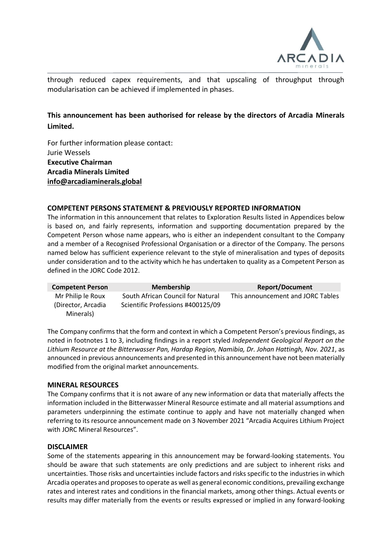

through reduced capex requirements, and that upscaling of throughput through modularisation can be achieved if implemented in phases.

### **This announcement has been authorised for release by the directors of Arcadia Minerals Limited.**

For further information please contact: Jurie Wessels **Executive Chairman Arcadia Minerals Limited [info@arcadiaminerals.global](mailto:info@arcadiaminerals.global)**

#### **COMPETENT PERSONS STATEMENT & PREVIOUSLY REPORTED INFORMATION**

The information in this announcement that relates to Exploration Results listed in Appendices below is based on, and fairly represents, information and supporting documentation prepared by the Competent Person whose name appears, who is either an independent consultant to the Company and a member of a Recognised Professional Organisation or a director of the Company. The persons named below has sufficient experience relevant to the style of mineralisation and types of deposits under consideration and to the activity which he has undertaken to quality as a Competent Person as defined in the JORC Code 2012.

| <b>Competent Person</b>          | <b>Membership</b>                 | <b>Report/Document</b>            |
|----------------------------------|-----------------------------------|-----------------------------------|
| Mr Philip le Roux                | South African Council for Natural | This announcement and JORC Tables |
| (Director, Arcadia)<br>Minerals) | Scientific Professions #400125/09 |                                   |

The Company confirms that the form and context in which a Competent Person's previous findings, as noted in footnotes 1 to 3, including findings in a report styled *Independent Geological Report on the Lithium Resource at the Bitterwasser Pan, Hardap Region, Namibia, Dr. Johan Hattingh, Nov. 2021*, as announced in previous announcements and presented in this announcement have not been materially modified from the original market announcements.

#### **MINERAL RESOURCES**

The Company confirms that it is not aware of any new information or data that materially affects the information included in the Bitterwasser Mineral Resource estimate and all material assumptions and parameters underpinning the estimate continue to apply and have not materially changed when referring to its resource announcement made on 3 November 2021 "Arcadia Acquires Lithium Project with JORC Mineral Resources".

#### **DISCLAIMER**

Some of the statements appearing in this announcement may be forward-looking statements. You should be aware that such statements are only predictions and are subject to inherent risks and uncertainties. Those risks and uncertainties include factors and risks specific to the industries in which Arcadia operates and proposes to operate as well as general economic conditions, prevailing exchange rates and interest rates and conditions in the financial markets, among other things. Actual events or results may differ materially from the events or results expressed or implied in any forward-looking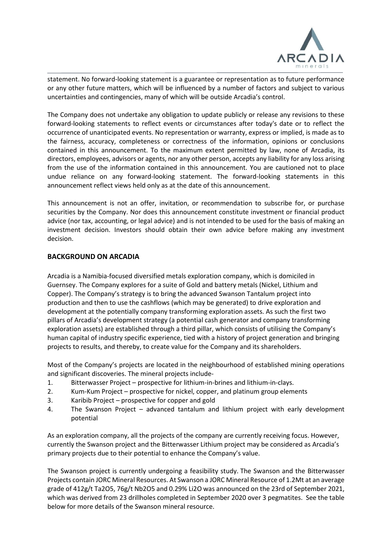

statement. No forward-looking statement is a guarantee or representation as to future performance or any other future matters, which will be influenced by a number of factors and subject to various uncertainties and contingencies, many of which will be outside Arcadia's control.

The Company does not undertake any obligation to update publicly or release any revisions to these forward-looking statements to reflect events or circumstances after today's date or to reflect the occurrence of unanticipated events. No representation or warranty, express or implied, is made as to the fairness, accuracy, completeness or correctness of the information, opinions or conclusions contained in this announcement. To the maximum extent permitted by law, none of Arcadia, its directors, employees, advisors or agents, nor any other person, accepts any liability for any loss arising from the use of the information contained in this announcement. You are cautioned not to place undue reliance on any forward-looking statement. The forward-looking statements in this announcement reflect views held only as at the date of this announcement.

This announcement is not an offer, invitation, or recommendation to subscribe for, or purchase securities by the Company. Nor does this announcement constitute investment or financial product advice (nor tax, accounting, or legal advice) and is not intended to be used for the basis of making an investment decision. Investors should obtain their own advice before making any investment decision.

#### **BACKGROUND ON ARCADIA**

Arcadia is a Namibia-focused diversified metals exploration company, which is domiciled in Guernsey. The Company explores for a suite of Gold and battery metals (Nickel, Lithium and Copper). The Company's strategy is to bring the advanced Swanson Tantalum project into production and then to use the cashflows (which may be generated) to drive exploration and development at the potentially company transforming exploration assets. As such the first two pillars of Arcadia's development strategy (a potential cash generator and company transforming exploration assets) are established through a third pillar, which consists of utilising the Company's human capital of industry specific experience, tied with a history of project generation and bringing projects to results, and thereby, to create value for the Company and its shareholders.

Most of the Company's projects are located in the neighbourhood of established mining operations and significant discoveries. The mineral projects include-

- 1. Bitterwasser Project prospective for lithium-in-brines and lithium-in-clays.
- 2. Kum-Kum Project prospective for nickel, copper, and platinum group elements
- 3. Karibib Project prospective for copper and gold
- 4. The Swanson Project advanced tantalum and lithium project with early development potential

As an exploration company, all the projects of the company are currently receiving focus. However, currently the Swanson project and the Bitterwasser Lithium project may be considered as Arcadia's primary projects due to their potential to enhance the Company's value.

The Swanson project is currently undergoing a feasibility study. The Swanson and the Bitterwasser Projects contain JORC Mineral Resources. At Swanson a JORC Mineral Resource of 1.2Mt at an average grade of 412g/t Ta2O5, 76g/t Nb2O5 and 0.29% Li2O was announced on the 23rd of September 2021, which was derived from 23 drillholes completed in September 2020 over 3 pegmatites. See the table below for more details of the Swanson mineral resource.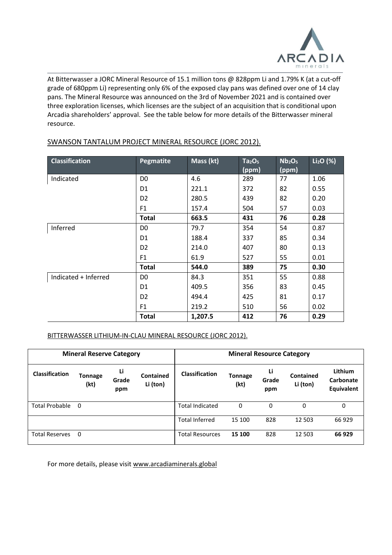

At Bitterwasser a JORC Mineral Resource of 15.1 million tons @ 828ppm Li and 1.79% K (at a cut-off grade of 680ppm Li) representing only 6% of the exposed clay pans was defined over one of 14 clay pans. The Mineral Resource was announced on the 3rd of November 2021 and is contained over three exploration licenses, which licenses are the subject of an acquisition that is conditional upon Arcadia shareholders' approval. See the table below for more details of the Bitterwasser mineral resource.

| <b>Classification</b> | Pegmatite      | Mass (kt) | Ta <sub>2</sub> O <sub>5</sub> | Nb <sub>2</sub> O <sub>5</sub> | $Li2O$ (%) |
|-----------------------|----------------|-----------|--------------------------------|--------------------------------|------------|
|                       |                |           | (ppm)                          | (ppm)                          |            |
| Indicated             | D <sub>0</sub> | 4.6       | 289                            | 77                             | 1.06       |
|                       | D <sub>1</sub> | 221.1     | 372                            | 82                             | 0.55       |
|                       | D <sub>2</sub> | 280.5     | 439                            | 82                             | 0.20       |
|                       | F <sub>1</sub> | 157.4     | 504                            | 57                             | 0.03       |
|                       | <b>Total</b>   | 663.5     | 431                            | 76                             | 0.28       |
| Inferred              | D <sub>0</sub> | 79.7      | 354                            | 54                             | 0.87       |
|                       | D <sub>1</sub> | 188.4     | 337                            | 85                             | 0.34       |
|                       | D <sub>2</sub> | 214.0     | 407                            | 80                             | 0.13       |
|                       | F <sub>1</sub> | 61.9      | 527                            | 55                             | 0.01       |
|                       | <b>Total</b>   | 544.0     | 389                            | 75                             | 0.30       |
| Indicated + Inferred  | D <sub>0</sub> | 84.3      | 351                            | 55                             | 0.88       |
|                       | D <sub>1</sub> | 409.5     | 356                            | 83                             | 0.45       |
|                       | D <sub>2</sub> | 494.4     | 425                            | 81                             | 0.17       |
|                       | F <sub>1</sub> | 219.2     | 510                            | 56                             | 0.02       |
|                       | <b>Total</b>   | 1,207.5   | 412                            | 76                             | 0.29       |

#### SWANSON TANTALUM PROJECT MINERAL RESOURCE (JORC 2012).

#### BITTERWASSER LITHIUM-IN-CLAU MINERAL RESOURCE (JORC 2012).

| <b>Mineral Reserve Category</b> |                        |                    |                              | <b>Mineral Resource Category</b> |                        |                    |                              |                                           |
|---------------------------------|------------------------|--------------------|------------------------------|----------------------------------|------------------------|--------------------|------------------------------|-------------------------------------------|
| <b>Classification</b>           | <b>Tonnage</b><br>(kt) | Li<br>Grade<br>ppm | <b>Contained</b><br>Li (ton) | Classification                   | <b>Tonnage</b><br>(kt) | Li<br>Grade<br>ppm | <b>Contained</b><br>Li (ton) | Lithium<br>Carbonate<br><b>Equivalent</b> |
| <b>Total Probable</b>           | 0                      |                    |                              | Total Indicated                  | 0                      | $\mathbf{0}$       | 0                            | 0                                         |
|                                 |                        |                    |                              | <b>Total Inferred</b>            | 15 100                 | 828                | 12 503                       | 66 929                                    |
| <b>Total Reserves</b>           | 0                      |                    |                              | <b>Total Resources</b>           | 15 100                 | 828                | 12 503                       | 66 929                                    |

For more details, please visit [www.arcadiaminerals.global](http://www.arcadiaminerals.global/)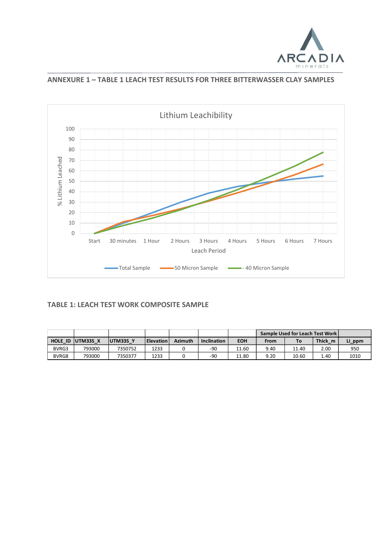

**ANNEXURE 1 – TABLE 1 LEACH TEST RESULTS FOR THREE BITTERWASSER CLAY SAMPLES**



#### **TABLE 1: LEACH TEST WORK COMPOSITE SAMPLE**

|         |          |          |                  |                |                    |            |      | Sample Used for Leach Test Work |         |        |
|---------|----------|----------|------------------|----------------|--------------------|------------|------|---------------------------------|---------|--------|
| HOLE ID | UTM33S X | UTM33S Y | <b>Elevation</b> | <b>Azimuth</b> | <b>Inclination</b> | <b>EOH</b> | From | To.                             | Thick m | Li ppm |
| BVRG3   | 793000   | 7350752  | 1233             |                | $-90$              | 11.60      | 9.40 | 11.40                           | 2.00    | 950    |
| BVRG8   | 793000   | 7350377  | 1233             |                | $-90$              | 11.80      | 9.20 | 10.60                           | 1.40    | 1010   |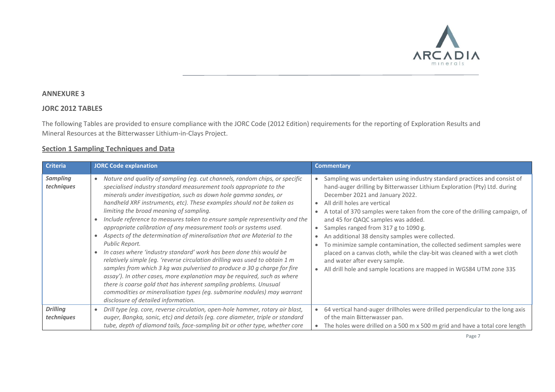

#### **ANNEXURE 3**

#### **JORC 2012 TABLES**

The following Tables are provided to ensure compliance with the JORC Code (2012 Edition) requirements for the reporting of Exploration Results and Mineral Resources at the Bitterwasser Lithium-in-Clays Project.

#### **Section 1 Sampling Techniques and Data**

| <b>Criteria</b>               | <b>JORC Code explanation</b>                                                                                                                                                                                                                                                                                                                                                                                                                                                                                                                                                                                                                                                                                                                                                                                                                                                                                                                                                                                                                                                                                 | <b>Commentary</b>                                                                                                                                                                                                                                                                                                                                                                                                                                                                                                                                                                                                                                                                                         |
|-------------------------------|--------------------------------------------------------------------------------------------------------------------------------------------------------------------------------------------------------------------------------------------------------------------------------------------------------------------------------------------------------------------------------------------------------------------------------------------------------------------------------------------------------------------------------------------------------------------------------------------------------------------------------------------------------------------------------------------------------------------------------------------------------------------------------------------------------------------------------------------------------------------------------------------------------------------------------------------------------------------------------------------------------------------------------------------------------------------------------------------------------------|-----------------------------------------------------------------------------------------------------------------------------------------------------------------------------------------------------------------------------------------------------------------------------------------------------------------------------------------------------------------------------------------------------------------------------------------------------------------------------------------------------------------------------------------------------------------------------------------------------------------------------------------------------------------------------------------------------------|
| <b>Sampling</b><br>techniques | Nature and quality of sampling (eg. cut channels, random chips, or specific<br>$\bullet$<br>specialised industry standard measurement tools appropriate to the<br>minerals under investigation, such as down hole gamma sondes, or<br>handheld XRF instruments, etc). These examples should not be taken as<br>limiting the broad meaning of sampling.<br>Include reference to measures taken to ensure sample representivity and the<br>appropriate calibration of any measurement tools or systems used.<br>Aspects of the determination of mineralisation that are Material to the<br>Public Report.<br>In cases where 'industry standard' work has been done this would be<br>relatively simple (eg. 'reverse circulation drilling was used to obtain 1 m<br>samples from which 3 kg was pulverised to produce a 30 g charge for fire<br>assay'). In other cases, more explanation may be required, such as where<br>there is coarse gold that has inherent sampling problems. Unusual<br>commodities or mineralisation types (eg. submarine nodules) may warrant<br>disclosure of detailed information. | Sampling was undertaken using industry standard practices and consist of<br>hand-auger drilling by Bitterwasser Lithium Exploration (Pty) Ltd. during<br>December 2021 and January 2022.<br>All drill holes are vertical<br>A total of 370 samples were taken from the core of the drilling campaign, of<br>and 45 for QAQC samples was added.<br>Samples ranged from 317 g to 1090 g.<br>An additional 38 density samples were collected.<br>To minimize sample contamination, the collected sediment samples were<br>placed on a canvas cloth, while the clay-bit was cleaned with a wet cloth<br>and water after every sample.<br>All drill hole and sample locations are mapped in WGS84 UTM zone 33S |
| <b>Drilling</b><br>techniques | Drill type (eg. core, reverse circulation, open-hole hammer, rotary air blast,<br>$\bullet$<br>auger, Bangka, sonic, etc) and details (eg. core diameter, triple or standard<br>tube, depth of diamond tails, face-sampling bit or other type, whether core                                                                                                                                                                                                                                                                                                                                                                                                                                                                                                                                                                                                                                                                                                                                                                                                                                                  | 64 vertical hand-auger drillholes were drilled perpendicular to the long axis<br>of the main Bitterwasser pan.<br>The holes were drilled on a 500 m x 500 m grid and have a total core length                                                                                                                                                                                                                                                                                                                                                                                                                                                                                                             |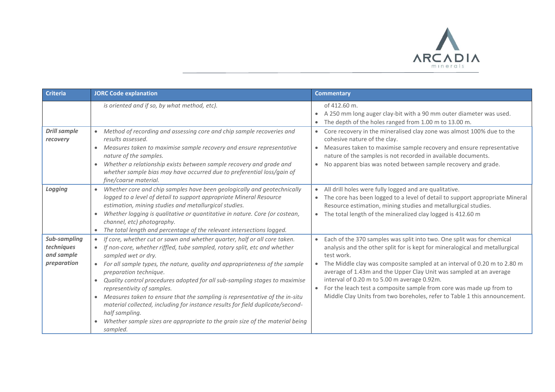

| <b>Criteria</b>                                         | <b>JORC Code explanation</b>                                                                                                                                                                                                                                                                                                                                                                                                                                                                                                                                                                                                                                                                                               | <b>Commentary</b>                                                                                                                                                                                                                                                                                                                                                                                                                                                                                                                      |
|---------------------------------------------------------|----------------------------------------------------------------------------------------------------------------------------------------------------------------------------------------------------------------------------------------------------------------------------------------------------------------------------------------------------------------------------------------------------------------------------------------------------------------------------------------------------------------------------------------------------------------------------------------------------------------------------------------------------------------------------------------------------------------------------|----------------------------------------------------------------------------------------------------------------------------------------------------------------------------------------------------------------------------------------------------------------------------------------------------------------------------------------------------------------------------------------------------------------------------------------------------------------------------------------------------------------------------------------|
|                                                         | is oriented and if so, by what method, etc).                                                                                                                                                                                                                                                                                                                                                                                                                                                                                                                                                                                                                                                                               | of 412.60 m.<br>A 250 mm long auger clay-bit with a 90 mm outer diameter was used.<br>$\bullet$<br>The depth of the holes ranged from 1.00 m to 13.00 m.<br>$\bullet$                                                                                                                                                                                                                                                                                                                                                                  |
| <b>Drill sample</b><br>recovery                         | • Method of recording and assessing core and chip sample recoveries and<br>results assessed.<br>• Measures taken to maximise sample recovery and ensure representative<br>nature of the samples.<br>Whether a relationship exists between sample recovery and grade and<br>$\bullet$<br>whether sample bias may have occurred due to preferential loss/gain of<br>fine/coarse material.                                                                                                                                                                                                                                                                                                                                    | Core recovery in the mineralised clay zone was almost 100% due to the<br>cohesive nature of the clay.<br>Measures taken to maximise sample recovery and ensure representative<br>$\bullet$<br>nature of the samples is not recorded in available documents.<br>No apparent bias was noted between sample recovery and grade.<br>$\bullet$                                                                                                                                                                                              |
| Logging                                                 | Whether core and chip samples have been geologically and geotechnically<br>$\bullet$<br>logged to a level of detail to support appropriate Mineral Resource<br>estimation, mining studies and metallurgical studies.<br>Whether logging is qualitative or quantitative in nature. Core (or costean,<br>$\bullet$<br>channel, etc) photography.<br>The total length and percentage of the relevant intersections logged.                                                                                                                                                                                                                                                                                                    | All drill holes were fully logged and are qualitative.<br>$\bullet$<br>The core has been logged to a level of detail to support appropriate Mineral<br>Resource estimation, mining studies and metallurgical studies.<br>The total length of the mineralized clay logged is 412.60 m<br>$\bullet$                                                                                                                                                                                                                                      |
| Sub-sampling<br>techniques<br>and sample<br>preparation | If core, whether cut or sawn and whether quarter, half or all core taken.<br>If non-core, whether riffled, tube sampled, rotary split, etc and whether<br>$\bullet$<br>sampled wet or dry.<br>For all sample types, the nature, quality and appropriateness of the sample<br>$\bullet$<br>preparation technique.<br>Quality control procedures adopted for all sub-sampling stages to maximise<br>$\bullet$<br>representivity of samples.<br>• Measures taken to ensure that the sampling is representative of the in-situ<br>material collected, including for instance results for field duplicate/second-<br>half sampling.<br>Whether sample sizes are appropriate to the grain size of the material being<br>sampled. | Each of the 370 samples was split into two. One split was for chemical<br>$\bullet$<br>analysis and the other split for is kept for mineralogical and metallurgical<br>test work.<br>The Middle clay was composite sampled at an interval of 0.20 m to 2.80 m<br>average of 1.43m and the Upper Clay Unit was sampled at an average<br>interval of 0.20 m to 5.00 m average 0.92m.<br>For the leach test a composite sample from core was made up from to<br>Middle Clay Units from two boreholes, refer to Table 1 this announcement. |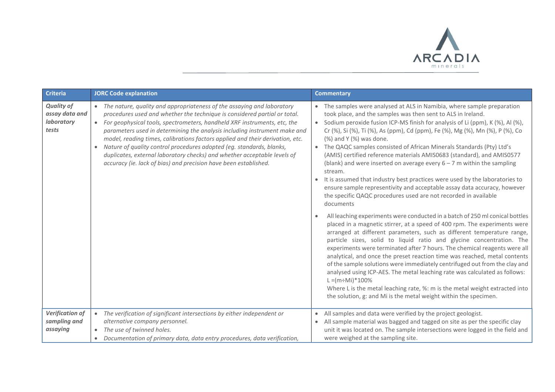

| <b>Criteria</b>                                            | <b>JORC Code explanation</b>                                                                                                                                                                                                                                                                                                                                                                                                                                                                                                                                                                                                                    | <b>Commentary</b>                                                                                                                                                                                                                                                                                                                                                                                                                                                                                                                                                                                                                                                                                                                                                                                                            |
|------------------------------------------------------------|-------------------------------------------------------------------------------------------------------------------------------------------------------------------------------------------------------------------------------------------------------------------------------------------------------------------------------------------------------------------------------------------------------------------------------------------------------------------------------------------------------------------------------------------------------------------------------------------------------------------------------------------------|------------------------------------------------------------------------------------------------------------------------------------------------------------------------------------------------------------------------------------------------------------------------------------------------------------------------------------------------------------------------------------------------------------------------------------------------------------------------------------------------------------------------------------------------------------------------------------------------------------------------------------------------------------------------------------------------------------------------------------------------------------------------------------------------------------------------------|
| <b>Quality of</b><br>assay data and<br>laboratory<br>tests | The nature, quality and appropriateness of the assaying and laboratory<br>$\bullet$<br>procedures used and whether the technique is considered partial or total.<br>For geophysical tools, spectrometers, handheld XRF instruments, etc, the<br>$\bullet$<br>parameters used in determining the analysis including instrument make and<br>model, reading times, calibrations factors applied and their derivation, etc.<br>Nature of quality control procedures adopted (eg. standards, blanks,<br>duplicates, external laboratory checks) and whether acceptable levels of<br>accuracy (ie. lack of bias) and precision have been established. | • The samples were analysed at ALS in Namibia, where sample preparation<br>took place, and the samples was then sent to ALS in Ireland.<br>• Sodium peroxide fusion ICP-MS finish for analysis of Li (ppm), K (%), Al (%),<br>Cr (%), Si (%), Ti (%), As (ppm), Cd (ppm), Fe (%), Mg (%), Mn (%), P (%), Co<br>(%) and Y (%) was done.<br>• The QAQC samples consisted of African Minerals Standards (Pty) Ltd's<br>(AMIS) certified reference materials AMIS0683 (standard), and AMIS0577<br>(blank) and were inserted on average every $6 - 7$ m within the sampling<br>stream.<br>It is assumed that industry best practices were used by the laboratories to<br>ensure sample representivity and acceptable assay data accuracy, however<br>the specific QAQC procedures used are not recorded in available<br>documents |
|                                                            |                                                                                                                                                                                                                                                                                                                                                                                                                                                                                                                                                                                                                                                 | All leaching experiments were conducted in a batch of 250 ml conical bottles<br>placed in a magnetic stirrer, at a speed of 400 rpm. The experiments were<br>arranged at different parameters, such as different temperature range,<br>particle sizes, solid to liquid ratio and glycine concentration. The<br>experiments were terminated after 7 hours. The chemical reagents were all<br>analytical, and once the preset reaction time was reached, metal contents<br>of the sample solutions were immediately centrifuged out from the clay and<br>analysed using ICP-AES. The metal leaching rate was calculated as follows:<br>$L = (m \div M_i)^* 100\%$<br>Where L is the metal leaching rate, %: m is the metal weight extracted into<br>the solution, g: and Mi is the metal weight within the specimen.           |
| <b>Verification of</b><br>sampling and<br>assaying         | The verification of significant intersections by either independent or<br>$\bullet$<br>alternative company personnel.<br>The use of twinned holes.<br>Documentation of primary data, data entry procedures, data verification,                                                                                                                                                                                                                                                                                                                                                                                                                  | • All samples and data were verified by the project geologist.<br>All sample material was bagged and tagged on site as per the specific clay<br>unit it was located on. The sample intersections were logged in the field and<br>were weighed at the sampling site.                                                                                                                                                                                                                                                                                                                                                                                                                                                                                                                                                          |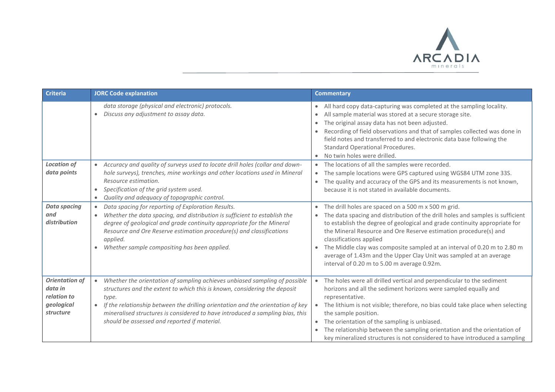

| Criteria                                                                   | <b>JORC Code explanation</b>                                                                                                                                                                                                                                                                                                                                                                                   | <b>Commentary</b>                                                                                                                                                                                                                                                                                                                                                                                                                                                                                                                             |
|----------------------------------------------------------------------------|----------------------------------------------------------------------------------------------------------------------------------------------------------------------------------------------------------------------------------------------------------------------------------------------------------------------------------------------------------------------------------------------------------------|-----------------------------------------------------------------------------------------------------------------------------------------------------------------------------------------------------------------------------------------------------------------------------------------------------------------------------------------------------------------------------------------------------------------------------------------------------------------------------------------------------------------------------------------------|
|                                                                            | data storage (physical and electronic) protocols.<br>Discuss any adjustment to assay data.                                                                                                                                                                                                                                                                                                                     | All hard copy data-capturing was completed at the sampling locality.<br>$\bullet$<br>All sample material was stored at a secure storage site.<br>$\bullet$<br>The original assay data has not been adjusted.<br>$\bullet$<br>Recording of field observations and that of samples collected was done in<br>field notes and transferred to and electronic data base following the<br>Standard Operational Procedures.<br>No twin holes were drilled.<br>$\bullet$                                                                               |
| <b>Location of</b><br>data points                                          | Accuracy and quality of surveys used to locate drill holes (collar and down-<br>$\bullet$<br>hole surveys), trenches, mine workings and other locations used in Mineral<br>Resource estimation.<br>Specification of the grid system used.<br>Quality and adequacy of topographic control.                                                                                                                      | The locations of all the samples were recorded.<br>$\bullet$<br>The sample locations were GPS captured using WGS84 UTM zone 33S.<br>$\bullet$<br>The quality and accuracy of the GPS and its measurements is not known,<br>$\bullet$<br>because it is not stated in available documents.                                                                                                                                                                                                                                                      |
| <b>Data spacing</b><br>and<br>distribution                                 | Data spacing for reporting of Exploration Results.<br>$\bullet$<br>Whether the data spacing, and distribution is sufficient to establish the<br>$\bullet$<br>degree of geological and grade continuity appropriate for the Mineral<br>Resource and Ore Reserve estimation procedure(s) and classifications<br>applied.<br>Whether sample compositing has been applied.                                         | The drill holes are spaced on a 500 m x 500 m grid.<br>$\bullet$<br>The data spacing and distribution of the drill holes and samples is sufficient<br>$\bullet$<br>to establish the degree of geological and grade continuity appropriate for<br>the Mineral Resource and Ore Reserve estimation procedure(s) and<br>classifications applied<br>The Middle clay was composite sampled at an interval of 0.20 m to 2.80 m<br>average of 1.43m and the Upper Clay Unit was sampled at an average<br>interval of 0.20 m to 5.00 m average 0.92m. |
| <b>Orientation of</b><br>data in<br>relation to<br>geological<br>structure | Whether the orientation of sampling achieves unbiased sampling of possible<br>$\bullet$<br>structures and the extent to which this is known, considering the deposit<br>type.<br>If the relationship between the drilling orientation and the orientation of key<br>$\bullet$<br>mineralised structures is considered to have introduced a sampling bias, this<br>should be assessed and reported if material. | The holes were all drilled vertical and perpendicular to the sediment<br>horizons and all the sediment horizons were sampled equally and<br>representative.<br>The lithium is not visible; therefore, no bias could take place when selecting<br>the sample position.<br>The orientation of the sampling is unbiased.<br>$\bullet$<br>The relationship between the sampling orientation and the orientation of<br>key mineralized structures is not considered to have introduced a sampling                                                  |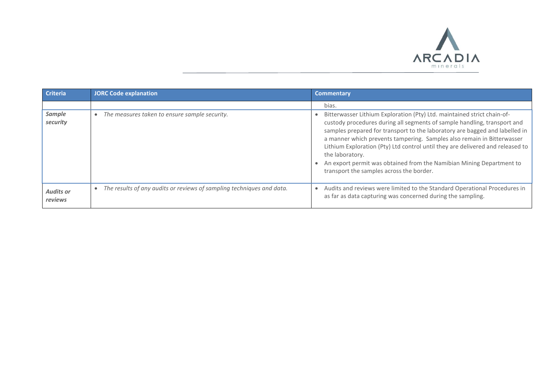

| <b>Criteria</b>             | <b>JORC Code explanation</b>                                          | <b>Commentary</b>                                                                                                                                                                                                                                                                                                                                                                                                                                                                                                                     |
|-----------------------------|-----------------------------------------------------------------------|---------------------------------------------------------------------------------------------------------------------------------------------------------------------------------------------------------------------------------------------------------------------------------------------------------------------------------------------------------------------------------------------------------------------------------------------------------------------------------------------------------------------------------------|
|                             |                                                                       | bias.                                                                                                                                                                                                                                                                                                                                                                                                                                                                                                                                 |
| Sample<br>security          | The measures taken to ensure sample security.                         | Bitterwasser Lithium Exploration (Pty) Ltd. maintained strict chain-of-<br>custody procedures during all segments of sample handling, transport and<br>samples prepared for transport to the laboratory are bagged and labelled in<br>a manner which prevents tampering. Samples also remain in Bitterwasser<br>Lithium Exploration (Pty) Ltd control until they are delivered and released to<br>the laboratory.<br>An export permit was obtained from the Namibian Mining Department to<br>transport the samples across the border. |
| <b>Audits or</b><br>reviews | The results of any audits or reviews of sampling techniques and data. | Audits and reviews were limited to the Standard Operational Procedures in<br>as far as data capturing was concerned during the sampling.                                                                                                                                                                                                                                                                                                                                                                                              |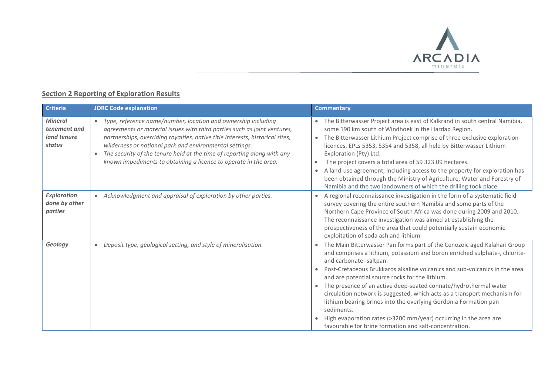

## **Section 2 Reporting of Exploration Results**

| <b>Criteria</b>                                         | <b>JORC Code explanation</b>                                                                                                                                                                                                                                                                                                                                                                                                                      | <b>Commentary</b>                                                                                                                                                                                                                                                                                                                                                                                                                                                                                                                                                                                                                                                                  |
|---------------------------------------------------------|---------------------------------------------------------------------------------------------------------------------------------------------------------------------------------------------------------------------------------------------------------------------------------------------------------------------------------------------------------------------------------------------------------------------------------------------------|------------------------------------------------------------------------------------------------------------------------------------------------------------------------------------------------------------------------------------------------------------------------------------------------------------------------------------------------------------------------------------------------------------------------------------------------------------------------------------------------------------------------------------------------------------------------------------------------------------------------------------------------------------------------------------|
| <b>Mineral</b><br>tenement and<br>land tenure<br>status | Type, reference name/number, location and ownership including<br>$\bullet$<br>agreements or material issues with third parties such as joint ventures,<br>partnerships, overriding royalties, native title interests, historical sites,<br>wilderness or national park and environmental settings.<br>The security of the tenure held at the time of reporting along with any<br>known impediments to obtaining a licence to operate in the area. | The Bitterwasser Project area is east of Kalkrand in south central Namibia,<br>some 190 km south of Windhoek in the Hardap Region.<br>The Bitterwasser Lithium Project comprise of three exclusive exploration<br>$\bullet$<br>licences, EPLs 5353, 5354 and 5358, all held by Bitterwasser Lithium<br>Exploration (Pty) Ltd.<br>The project covers a total area of 59 323.09 hectares.<br>$\bullet$<br>A land-use agreement, including access to the property for exploration has<br>$\bullet$<br>been obtained through the Ministry of Agriculture, Water and Forestry of<br>Namibia and the two landowners of which the drilling took place.                                    |
| <b>Exploration</b><br>done by other<br>parties          | Acknowledgment and appraisal of exploration by other parties.                                                                                                                                                                                                                                                                                                                                                                                     | A regional reconnaissance investigation in the form of a systematic field<br>survey covering the entire southern Namibia and some parts of the<br>Northern Cape Province of South Africa was done during 2009 and 2010.<br>The reconnaissance investigation was aimed at establishing the<br>prospectiveness of the area that could potentially sustain economic<br>exploitation of soda ash and lithium.                                                                                                                                                                                                                                                                          |
| Geology                                                 | Deposit type, geological setting, and style of mineralisation.                                                                                                                                                                                                                                                                                                                                                                                    | The Main Bitterwasser Pan forms part of the Cenozoic aged Kalahari Group<br>and comprises a lithium, potassium and boron enriched sulphate-, chlorite-<br>and carbonate-saltpan.<br>Post-Cretaceous Brukkaros alkaline volcanics and sub-volcanics in the area<br>and are potential source rocks for the lithium.<br>The presence of an active deep-seated connate/hydrothermal water<br>circulation network is suggested, which acts as a transport mechanism for<br>lithium bearing brines into the overlying Gordonia Formation pan<br>sediments.<br>High evaporation rates (>3200 mm/year) occurring in the area are<br>favourable for brine formation and salt-concentration. |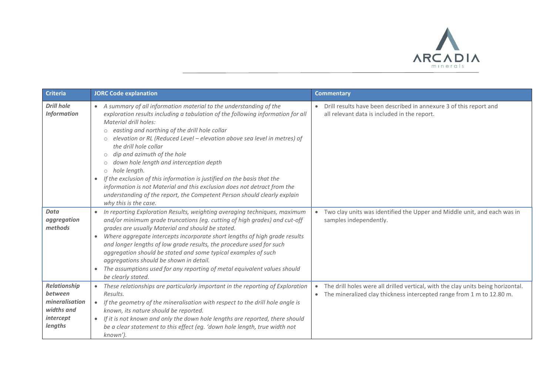

| <b>Criteria</b>                                                                        | <b>JORC Code explanation</b>                                                                                                                                                                                                                                                                                                                                                                                                                                                                                                                                                                                                                                                                                                                                                | <b>Commentary</b>                                                                                                                                         |
|----------------------------------------------------------------------------------------|-----------------------------------------------------------------------------------------------------------------------------------------------------------------------------------------------------------------------------------------------------------------------------------------------------------------------------------------------------------------------------------------------------------------------------------------------------------------------------------------------------------------------------------------------------------------------------------------------------------------------------------------------------------------------------------------------------------------------------------------------------------------------------|-----------------------------------------------------------------------------------------------------------------------------------------------------------|
| <b>Drill hole</b><br><b>Information</b>                                                | • A summary of all information material to the understanding of the<br>exploration results including a tabulation of the following information for all<br>Material drill holes:<br>easting and northing of the drill hole collar<br>$\circ$<br>elevation or RL (Reduced Level - elevation above sea level in metres) of<br>$\circ$<br>the drill hole collar<br>dip and azimuth of the hole<br>$\circlearrowright$<br>down hole length and interception depth<br>$\circ$<br>hole length.<br>$\circ$<br>If the exclusion of this information is justified on the basis that the<br>$\bullet$<br>information is not Material and this exclusion does not detract from the<br>understanding of the report, the Competent Person should clearly explain<br>why this is the case. | Drill results have been described in annexure 3 of this report and<br>all relevant data is included in the report.                                        |
| <b>Data</b><br>aggregation<br>methods                                                  | In reporting Exploration Results, weighting averaging techniques, maximum<br>$\bullet$<br>and/or minimum grade truncations (eg. cutting of high grades) and cut-off<br>grades are usually Material and should be stated.<br>Where aggregate intercepts incorporate short lengths of high grade results<br>$\bullet$<br>and longer lengths of low grade results, the procedure used for such<br>aggregation should be stated and some typical examples of such<br>aggregations should be shown in detail.<br>The assumptions used for any reporting of metal equivalent values should<br>$\bullet$<br>be clearly stated.                                                                                                                                                     | Two clay units was identified the Upper and Middle unit, and each was in<br>samples independently.                                                        |
| <b>Relationship</b><br>between<br>mineralisation<br>widths and<br>intercept<br>lengths | These relationships are particularly important in the reporting of Exploration<br>$\bullet$<br>Results.<br>If the geometry of the mineralisation with respect to the drill hole angle is<br>$\bullet$<br>known, its nature should be reported.<br>If it is not known and only the down hole lengths are reported, there should<br>$\bullet$<br>be a clear statement to this effect (eg. 'down hole length, true width not<br>known').                                                                                                                                                                                                                                                                                                                                       | The drill holes were all drilled vertical, with the clay units being horizontal.<br>The mineralized clay thickness intercepted range from 1 m to 12.80 m. |